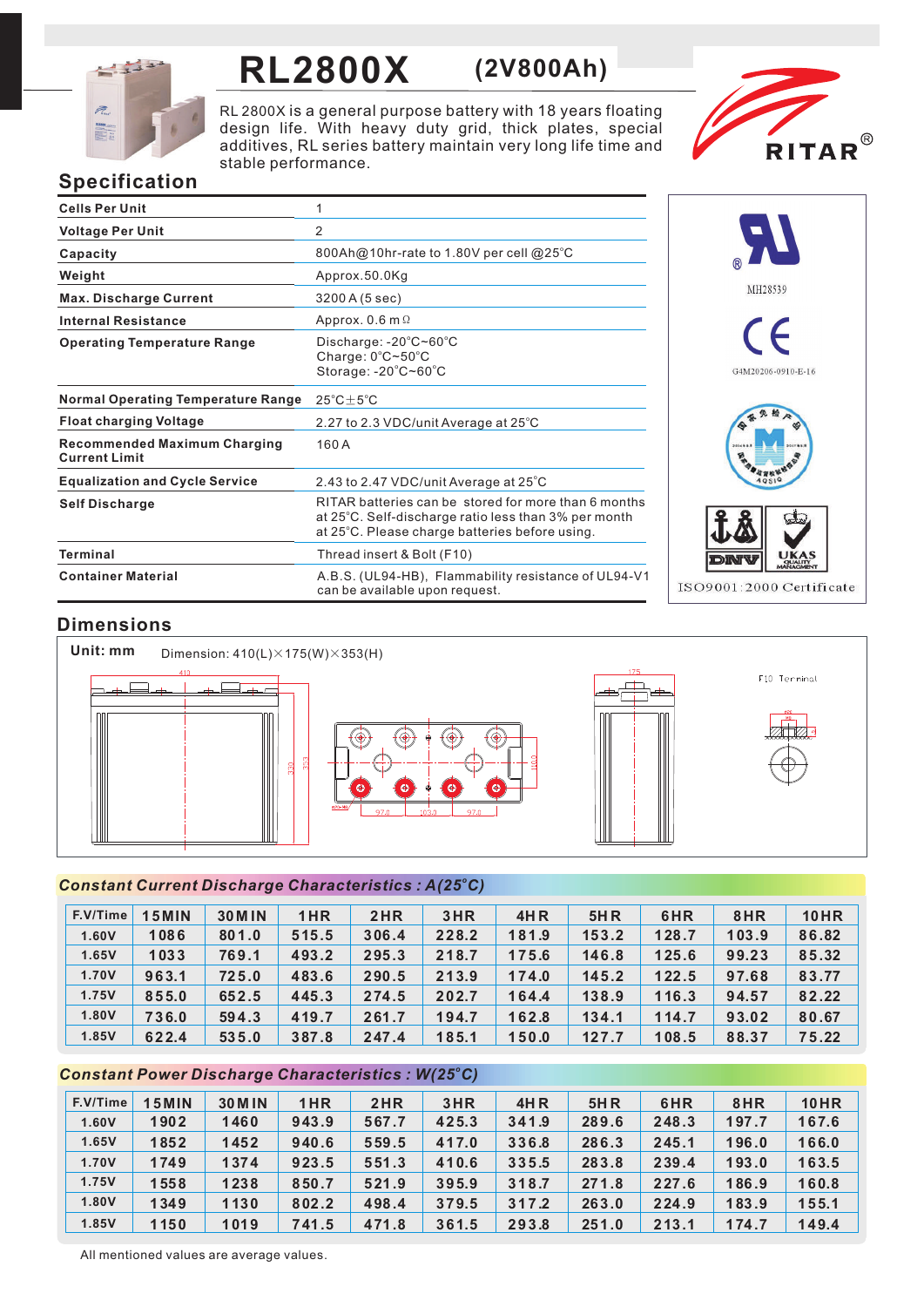

## **RL2800X (2V800Ah)**

RL 2800X is a general purpose battery with 18 years floating design life. With heavy duty grid, thick plates, special additives, RL series battery maintain very long life time and stable performance.



### **Specification**

| <b>Cells Per Unit</b>                                       |                                                                                                                                                                |
|-------------------------------------------------------------|----------------------------------------------------------------------------------------------------------------------------------------------------------------|
| <b>Voltage Per Unit</b>                                     | 2                                                                                                                                                              |
| Capacity                                                    | 800Ah@10hr-rate to 1.80V per cell @25°C                                                                                                                        |
| Weight                                                      | Approx.50.0Kg                                                                                                                                                  |
| <b>Max. Discharge Current</b>                               | 3200 A (5 sec)                                                                                                                                                 |
| <b>Internal Resistance</b>                                  | Approx. $0.6$ m $\Omega$                                                                                                                                       |
| <b>Operating Temperature Range</b>                          | Discharge: $-20^{\circ}$ C $\sim$ 60 $^{\circ}$ C<br>Charge: $0^{\circ}$ C $\sim$ 50 $^{\circ}$ C<br>Storage: -20°C~60°C                                       |
| <b>Normal Operating Temperature Range</b>                   | $25^{\circ}$ C $\pm$ 5 $^{\circ}$ C                                                                                                                            |
| <b>Float charging Voltage</b>                               | 2.27 to 2.3 VDC/unit Average at 25°C                                                                                                                           |
| <b>Recommended Maximum Charging</b><br><b>Current Limit</b> | 160A                                                                                                                                                           |
| <b>Equalization and Cycle Service</b>                       | 2.43 to 2.47 VDC/unit Average at 25°C                                                                                                                          |
| <b>Self Discharge</b>                                       | RITAR batteries can be stored for more than 6 months<br>at 25°C. Self-discharge ratio less than 3% per month<br>at 25°C. Please charge batteries before using. |
| Terminal                                                    | Thread insert & Bolt (F10)                                                                                                                                     |
| <b>Container Material</b>                                   | A.B.S. (UL94-HB), Flammability resistance of UL94-V1<br>can be available upon request.                                                                         |



#### **Dimensions**



#### *<sup>o</sup> Constant Current Discharge Characteristics : A(25 C)*

| F.V/Time | <b>15MIN</b> | <b>30 M IN</b> | 1HR   | 2HR   | 3HR   | <b>4HR</b> | <b>5HR</b> | 6HR   | 8HR   | <b>10HR</b> |
|----------|--------------|----------------|-------|-------|-------|------------|------------|-------|-------|-------------|
| 1.60V    | 1086         | 801.0          | 515.5 | 306.4 | 228.2 | 181.9      | 153.2      | 128.7 | 103.9 | 86.82       |
| 1.65V    | 1033         | 769.1          | 493.2 | 295.3 | 218.7 | 175.6      | 146.8      | 125.6 | 99.23 | 85.32       |
| 1.70V    | 963.1        | 725.0          | 483.6 | 290.5 | 213.9 | 174.0      | 145.2      | 122.5 | 97.68 | 83.77       |
| 1.75V    | 855.0        | 652.5          | 445.3 | 274.5 | 202.7 | 164.4      | 138.9      | 116.3 | 94.57 | 82.22       |
| 1.80V    | 736.0        | 594.3          | 419.7 | 261.7 | 194.7 | 162.8      | 134.1      | 114.7 | 93.02 | 80.67       |
| 1.85V    | 622.4        | 535.0          | 387.8 | 247.4 | 185.1 | 150.0      | 127.7      | 108.5 | 88.37 | 75.22       |

#### *<sup>o</sup> Constant Power Discharge Characteristics : W(25 C)*

| F.V/Time | <b>15MIN</b> | <b>30 M IN</b> | 1HR   | 2HR   | 3HR   | <b>4HR</b> | 5H R  | 6HR   | 8HR   | <b>10HR</b> |
|----------|--------------|----------------|-------|-------|-------|------------|-------|-------|-------|-------------|
| 1.60V    | 1902         | 1460           | 943.9 | 567.7 | 425.3 | 341.9      | 289.6 | 248.3 | 197.7 | 167.6       |
| 1.65V    | 1852         | 1452           | 940.6 | 559.5 | 417.0 | 336.8      | 286.3 | 245.1 | 196.0 | 166.0       |
| 1.70V    | 1749         | 1374           | 923.5 | 551.3 | 410.6 | 335.5      | 283.8 | 239.4 | 193.0 | 163.5       |
| 1.75V    | 1558         | 1238           | 850.7 | 521.9 | 395.9 | 318.7      | 271.8 | 227.6 | 186.9 | 160.8       |
| 1.80V    | 1349         | 1130           | 802.2 | 498.4 | 379.5 | 317.2      | 263.0 | 224.9 | 183.9 | 155.1       |
| 1.85V    | 1150         | 1019           | 741.5 | 471.8 | 361.5 | 293.8      | 251.0 | 213.1 | 174.7 | 149.4       |

All mentioned values are average values.